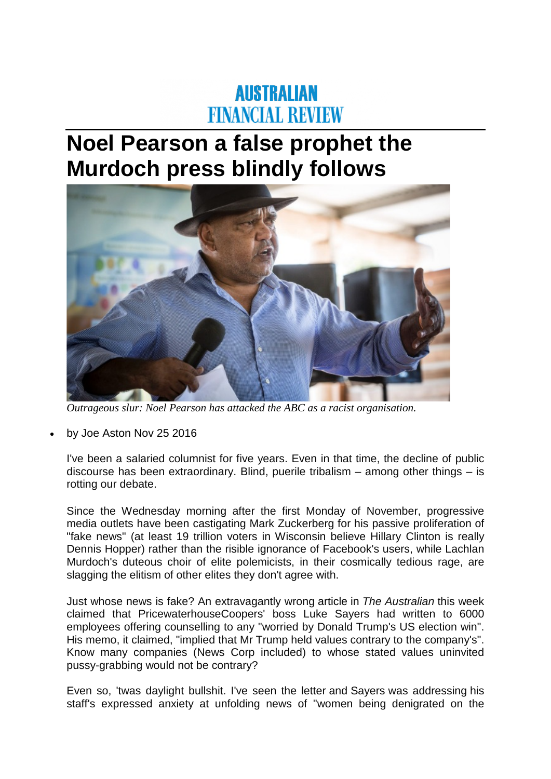## **AUSTRALIAN FINANCIAL REVIEW**

## **Noel Pearson a false prophet the Murdoch press blindly follows**



*Outrageous slur: Noel Pearson has attacked the ABC as a racist organisation.*

• by Joe Aston Nov 25 2016

I've been a salaried columnist for five years. Even in that time, the decline of public discourse has been extraordinary. Blind, puerile tribalism – among other things – is rotting our debate.

Since the Wednesday morning after the first Monday of November, progressive media outlets have been castigating Mark Zuckerberg for his passive proliferation of "fake news" (at least 19 trillion voters in Wisconsin believe Hillary Clinton is really Dennis Hopper) rather than the risible ignorance of Facebook's users, while Lachlan Murdoch's duteous choir of elite polemicists, in their cosmically tedious rage, are slagging the elitism of other elites they don't agree with.

Just whose news is fake? An extravagantly wrong article in *The Australian* this week claimed that PricewaterhouseCoopers' boss Luke Sayers had written to 6000 employees offering counselling to any "worried by Donald Trump's US election win". His memo, it claimed, "implied that Mr Trump held values contrary to the company's". Know many companies (News Corp included) to whose stated values uninvited pussy-grabbing would not be contrary?

Even so, 'twas daylight bullshit. I've seen the letter and Sayers was addressing his staff's expressed anxiety at unfolding news of "women being denigrated on the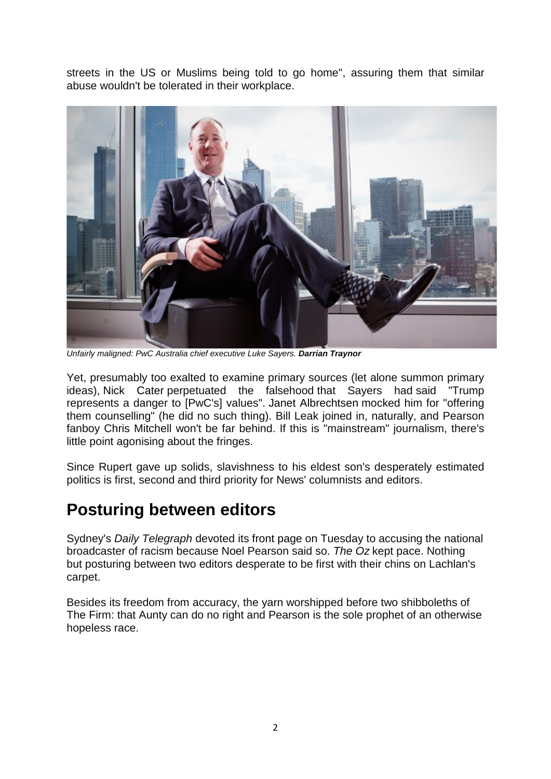streets in the US or Muslims being told to go home", assuring them that similar abuse wouldn't be tolerated in their workplace.



*Unfairly maligned: PwC Australia chief executive Luke Sayers. Darrian Traynor*

Yet, presumably too exalted to examine primary sources (let alone summon primary ideas), Nick Cater perpetuated the falsehood that Sayers had said "Trump represents a danger to [PwC's] values". Janet Albrechtsen mocked him for "offering them counselling" (he did no such thing). Bill Leak joined in, naturally, and Pearson fanboy Chris Mitchell won't be far behind. If this is "mainstream" journalism, there's little point agonising about the fringes.

Since Rupert gave up solids, slavishness to his eldest son's desperately estimated politics is first, second and third priority for News' columnists and editors.

## **Posturing between editors**

Sydney's *Daily Telegraph* devoted its front page on Tuesday to accusing the national broadcaster of racism because Noel Pearson said so. *The Oz* kept pace. Nothing but posturing between two editors desperate to be first with their chins on Lachlan's carpet.

Besides its freedom from accuracy, the yarn worshipped before two shibboleths of The Firm: that Aunty can do no right and Pearson is the sole prophet of an otherwise hopeless race.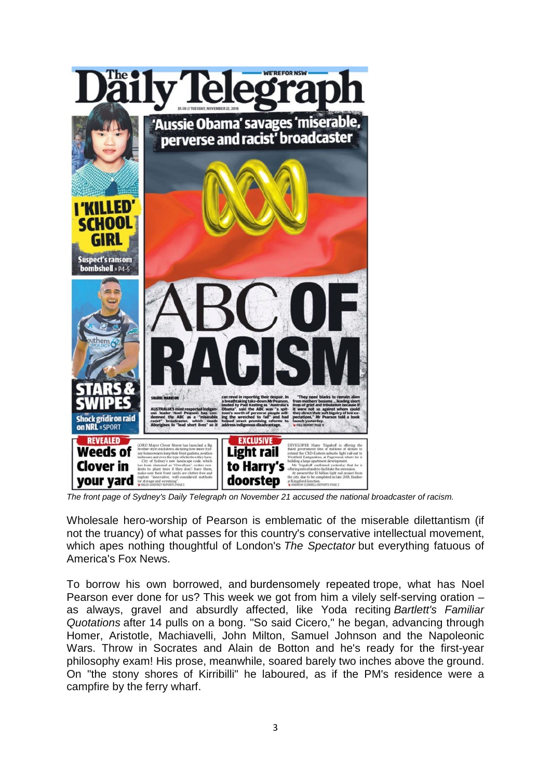

*The front page of Sydney's Daily Telegraph on November 21 accused the national broadcaster of racism.*

Wholesale hero-worship of Pearson is emblematic of the miserable dilettantism (if not the truancy) of what passes for this country's conservative intellectual movement, which apes nothing thoughtful of London's *The Spectator* but everything fatuous of America's Fox News.

To borrow his own borrowed, and burdensomely repeated trope, what has Noel Pearson ever done for us? This week we got from him a vilely self-serving oration – as always, gravel and absurdly affected, like Yoda reciting *Bartlett's Familiar Quotations* after 14 pulls on a bong. "So said Cicero," he began, advancing through Homer, Aristotle, Machiavelli, John Milton, Samuel Johnson and the Napoleonic Wars. Throw in Socrates and Alain de Botton and he's ready for the first-year philosophy exam! His prose, meanwhile, soared barely two inches above the ground. On "the stony shores of Kirribilli" he laboured, as if the PM's residence were a campfire by the ferry wharf.